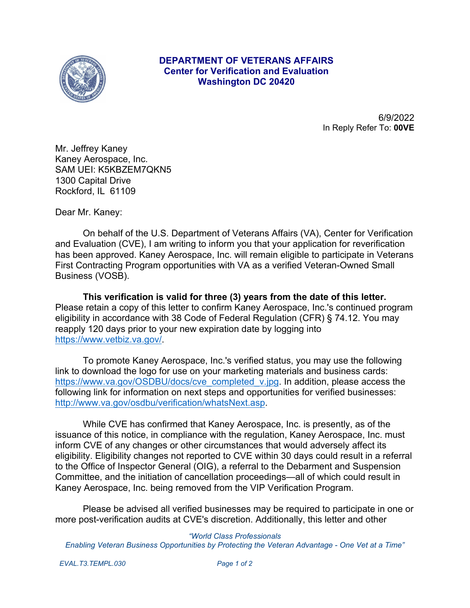

## **DEPARTMENT OF VETERANS AFFAIRS Center for Verification and Evaluation Washington DC 20420**

6/9/2022 In Reply Refer To: **00VE**

Mr. Jeffrey Kaney Kaney Aerospace, Inc. SAM UEI: K5KBZEM7QKN5 1300 Capital Drive Rockford, IL 61109

Dear Mr. Kaney:

On behalf of the U.S. Department of Veterans Affairs (VA), Center for Verification and Evaluation (CVE), I am writing to inform you that your application for reverification has been approved. Kaney Aerospace, Inc. will remain eligible to participate in Veterans First Contracting Program opportunities with VA as a verified Veteran-Owned Small Business (VOSB).

**This verification is valid for three (3) years from the date of this letter.**  Please retain a copy of this letter to confirm Kaney Aerospace, Inc.'s continued program eligibility in accordance with 38 Code of Federal Regulation (CFR) § 74.12. You may reapply 120 days prior to your new expiration date by logging into https://www.vetbiz.va.gov/.

To promote Kaney Aerospace, Inc.'s verified status, you may use the following link to download the logo for use on your marketing materials and business cards: https://www.va.gov/OSDBU/docs/cve\_completed\_v.jpg. In addition, please access the following link for information on next steps and opportunities for verified businesses: http://www.va.gov/osdbu/verification/whatsNext.asp.

While CVE has confirmed that Kaney Aerospace, Inc. is presently, as of the issuance of this notice, in compliance with the regulation, Kaney Aerospace, Inc. must inform CVE of any changes or other circumstances that would adversely affect its eligibility. Eligibility changes not reported to CVE within 30 days could result in a referral to the Office of Inspector General (OIG), a referral to the Debarment and Suspension Committee, and the initiation of cancellation proceedings—all of which could result in Kaney Aerospace, Inc. being removed from the VIP Verification Program.

Please be advised all verified businesses may be required to participate in one or more post-verification audits at CVE's discretion. Additionally, this letter and other

*"World Class Professionals Enabling Veteran Business Opportunities by Protecting the Veteran Advantage - One Vet at a Time"*